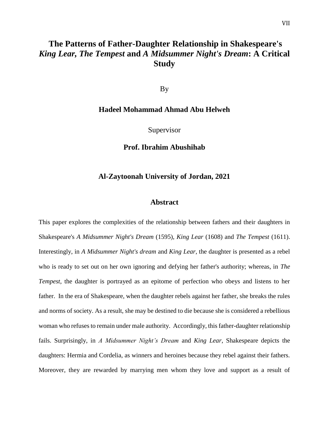## **The Patterns of Father-Daughter Relationship in Shakespeare's**  *King Lear, The Tempest* **and** *A Midsummer Night's Dream***: A Critical Study**

By

## **Hadeel Mohammad Ahmad Abu Helweh**

Supervisor

**Prof. Ibrahim Abushihab**

## **Al-Zaytoonah University of Jordan, 2021**

## **Abstract**

This paper explores the complexities of the relationship between fathers and their daughters in Shakespeare's *A Midsummer Night's Dream* (1595), *King Lear* (1608) and *The Tempest* (1611). Interestingly, in *A Midsummer Night's dream* and *King Lear*, the daughter is presented as a rebel who is ready to set out on her own ignoring and defying her father's authority; whereas, in *The Tempest*, the daughter is portrayed as an epitome of perfection who obeys and listens to her father. In the era of Shakespeare, when the daughter rebels against her father, she breaks the rules and norms of society. As a result, she may be destined to die because she is considered a rebellious woman who refuses to remain under male authority. Accordingly, this father-daughter relationship fails. Surprisingly, in *A Midsummer Night's Dream* and *King Lear*, Shakespeare depicts the daughters: Hermia and Cordelia, as winners and heroines because they rebel against their fathers. Moreover, they are rewarded by marrying men whom they love and support as a result of